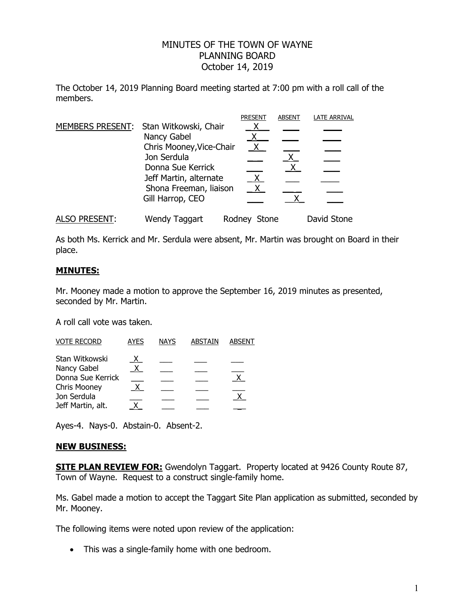## MINUTES OF THE TOWN OF WAYNE PLANNING BOARD October 14, 2019

The October 14, 2019 Planning Board meeting started at 7:00 pm with a roll call of the members.

|                      |                                        | <b>PRESEN</b>   | <b>ABSENT</b> | LATE ARRIVAL |
|----------------------|----------------------------------------|-----------------|---------------|--------------|
|                      | MEMBERS PRESENT: Stan Witkowski, Chair |                 |               |              |
|                      | Nancy Gabel                            |                 |               |              |
|                      | Chris Mooney, Vice-Chair               | X.              |               |              |
|                      | Jon Serdula<br>Donna Sue Kerrick       |                 |               |              |
|                      |                                        |                 |               |              |
|                      | Jeff Martin, alternate                 | X               |               |              |
|                      | Shona Freeman, liaison                 |                 |               |              |
|                      | Gill Harrop, CEO                       |                 |               |              |
| <b>ALSO PRESENT:</b> | <b>Wendy Taggart</b>                   | Rodney<br>Stone |               | David Stone  |

As both Ms. Kerrick and Mr. Serdula were absent, Mr. Martin was brought on Board in their place.

## **MINUTES:**

Mr. Mooney made a motion to approve the September 16, 2019 minutes as presented, seconded by Mr. Martin.

A roll call vote was taken.

| <b>VOTE RECORD</b> | <b>AYES</b> | <b>NAYS</b> | <b>ABSTAIN</b> | <b>ABSENT</b> |
|--------------------|-------------|-------------|----------------|---------------|
| Stan Witkowski     |             |             |                |               |
| Nancy Gabel        | X           |             |                |               |
| Donna Sue Kerrick  |             |             |                |               |
| Chris Mooney       | X.          |             |                |               |
| Jon Serdula        |             |             |                |               |
| Jeff Martin, alt.  |             |             |                |               |
|                    |             |             |                |               |

Ayes-4. Nays-0. Abstain-0. Absent-2.

## **NEW BUSINESS:**

**SITE PLAN REVIEW FOR:** Gwendolyn Taggart. Property located at 9426 County Route 87, Town of Wayne. Request to a construct single-family home.

Ms. Gabel made a motion to accept the Taggart Site Plan application as submitted, seconded by Mr. Mooney.

The following items were noted upon review of the application:

• This was a single-family home with one bedroom.